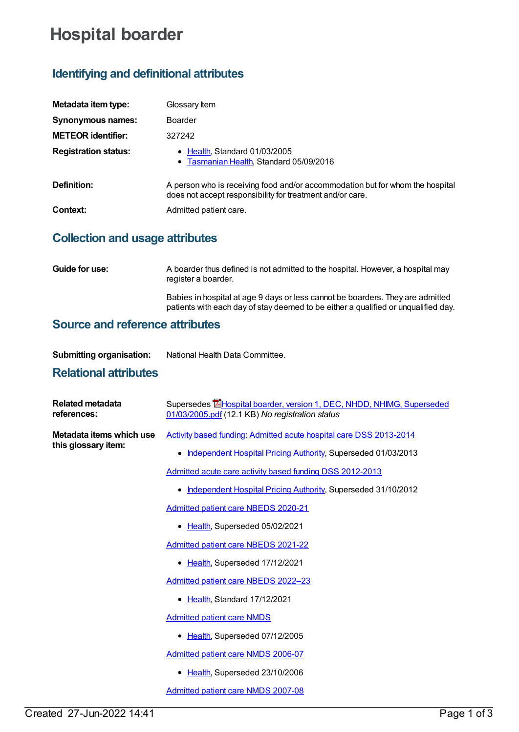# **Hospital boarder**

## **Identifying and definitional attributes**

| Metadata item type:         | Glossary Item                                                                                                                              |  |
|-----------------------------|--------------------------------------------------------------------------------------------------------------------------------------------|--|
| Synonymous names:           | <b>Boarder</b>                                                                                                                             |  |
| <b>METEOR identifier:</b>   | 327242                                                                                                                                     |  |
| <b>Registration status:</b> | • Health, Standard 01/03/2005<br>• Tasmanian Health, Standard 05/09/2016                                                                   |  |
| Definition:                 | A person who is receiving food and/or accommodation but for whom the hospital<br>does not accept responsibility for treatment and/or care. |  |
| Context:                    | Admitted patient care.                                                                                                                     |  |

## **Collection and usage attributes**

| <b>Guide for use:</b> | A boarder thus defined is not admitted to the hospital. However, a hospital may<br>register a boarder.                                                               |
|-----------------------|----------------------------------------------------------------------------------------------------------------------------------------------------------------------|
|                       | Babies in hospital at age 9 days or less cannot be boarders. They are admitted<br>patients with each day of stay deemed to be either a qualified or unqualified day. |
|                       |                                                                                                                                                                      |

#### **Source and reference attributes**

| <b>Submitting organisation:</b> | National Health Data Committee. |
|---------------------------------|---------------------------------|
|                                 |                                 |

### **Relational attributes**

| Related metadata<br>references:                 | Supersedes <b>E</b> Hospital boarder, version 1, DEC, NHDD, NHIMG, Superseded<br>01/03/2005.pdf (12.1 KB) No registration status |
|-------------------------------------------------|----------------------------------------------------------------------------------------------------------------------------------|
| Metadata items which use<br>this glossary item: | Activity based funding: Admitted acute hospital care DSS 2013-2014                                                               |
|                                                 | Independent Hospital Pricing Authority, Superseded 01/03/2013                                                                    |
|                                                 | Admitted acute care activity based funding DSS 2012-2013                                                                         |
|                                                 | Independent Hospital Pricing Authority, Superseded 31/10/2012                                                                    |
|                                                 | <b>Admitted patient care NBEDS 2020-21</b>                                                                                       |
|                                                 | • Health, Superseded 05/02/2021                                                                                                  |
|                                                 | Admitted patient care NBEDS 2021-22                                                                                              |
|                                                 | • Health, Superseded 17/12/2021                                                                                                  |
|                                                 | Admitted patient care NBEDS 2022-23                                                                                              |
|                                                 | Health, Standard 17/12/2021                                                                                                      |
|                                                 | <b>Admitted patient care NMDS</b>                                                                                                |
|                                                 | Health, Superseded 07/12/2005                                                                                                    |
|                                                 | Admitted patient care NMDS 2006-07                                                                                               |
|                                                 | Health, Superseded 23/10/2006                                                                                                    |
|                                                 | Admitted patient care NMDS 2007-08                                                                                               |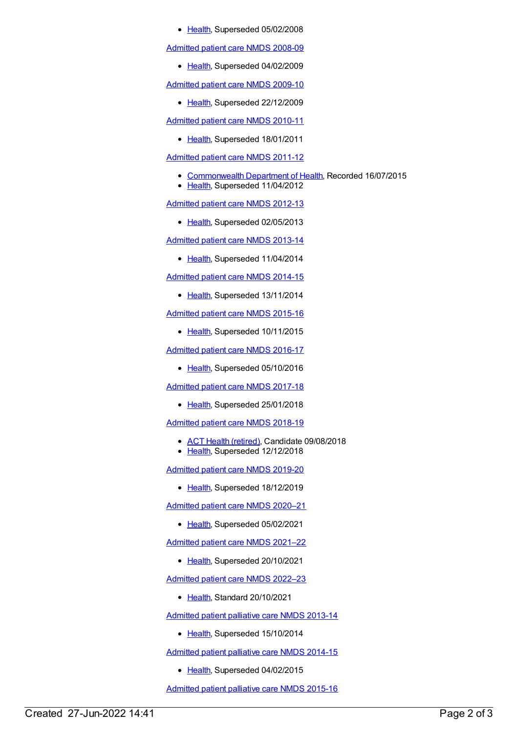• [Health](https://meteor.aihw.gov.au/RegistrationAuthority/12), Superseded 05/02/2008

[Admitted](https://meteor.aihw.gov.au/content/361679) patient care NMDS 2008-09

• [Health](https://meteor.aihw.gov.au/RegistrationAuthority/12), Superseded 04/02/2009

[Admitted](https://meteor.aihw.gov.au/content/374205) patient care NMDS 2009-10

• [Health](https://meteor.aihw.gov.au/RegistrationAuthority/12), Superseded 22/12/2009

[Admitted](https://meteor.aihw.gov.au/content/386797) patient care NMDS 2010-11

• [Health](https://meteor.aihw.gov.au/RegistrationAuthority/12), Superseded 18/01/2011

[Admitted](https://meteor.aihw.gov.au/content/426861) patient care NMDS 2011-12

- [Commonwealth](https://meteor.aihw.gov.au/RegistrationAuthority/10) Department of Health, Recorded 16/07/2015
- [Health](https://meteor.aihw.gov.au/RegistrationAuthority/12), Superseded 11/04/2012

[Admitted](https://meteor.aihw.gov.au/content/466132) patient care NMDS 2012-13

• [Health](https://meteor.aihw.gov.au/RegistrationAuthority/12), Superseded 02/05/2013

[Admitted](https://meteor.aihw.gov.au/content/491555) patient care NMDS 2013-14

• [Health](https://meteor.aihw.gov.au/RegistrationAuthority/12), Superseded 11/04/2014

[Admitted](https://meteor.aihw.gov.au/content/535047) patient care NMDS 2014-15

• [Health](https://meteor.aihw.gov.au/RegistrationAuthority/12), Superseded 13/11/2014

[Admitted](https://meteor.aihw.gov.au/content/588909) patient care NMDS 2015-16

• [Health](https://meteor.aihw.gov.au/RegistrationAuthority/12), Superseded 10/11/2015

[Admitted](https://meteor.aihw.gov.au/content/612171) patient care NMDS 2016-17

• [Health](https://meteor.aihw.gov.au/RegistrationAuthority/12), Superseded 05/10/2016

[Admitted](https://meteor.aihw.gov.au/content/641349) patient care NMDS 2017-18

• [Health](https://meteor.aihw.gov.au/RegistrationAuthority/12), Superseded 25/01/2018

[Admitted](https://meteor.aihw.gov.au/content/676382) patient care NMDS 2018-19

- ACT Health [\(retired\)](https://meteor.aihw.gov.au/RegistrationAuthority/9), Candidate 09/08/2018
- [Health](https://meteor.aihw.gov.au/RegistrationAuthority/12), Superseded 12/12/2018

[Admitted](https://meteor.aihw.gov.au/content/699728) patient care NMDS 2019-20

• [Health](https://meteor.aihw.gov.au/RegistrationAuthority/12), Superseded 18/12/2019

[Admitted](https://meteor.aihw.gov.au/content/713850) patient care NMDS 2020–21

• [Health](https://meteor.aihw.gov.au/RegistrationAuthority/12), Superseded 05/02/2021

[Admitted](https://meteor.aihw.gov.au/content/728439) patient care NMDS 2021–22

• [Health](https://meteor.aihw.gov.au/RegistrationAuthority/12), Superseded 20/10/2021

[Admitted](https://meteor.aihw.gov.au/content/742173) patient care NMDS 2022–23

• [Health](https://meteor.aihw.gov.au/RegistrationAuthority/12), Standard 20/10/2021

[Admitted](https://meteor.aihw.gov.au/content/504641) patient palliative care NMDS 2013-14

• [Health](https://meteor.aihw.gov.au/RegistrationAuthority/12), Superseded 15/10/2014

[Admitted](https://meteor.aihw.gov.au/content/553212) patient palliative care NMDS 2014-15

• [Health](https://meteor.aihw.gov.au/RegistrationAuthority/12), Superseded 04/02/2015

[Admitted](https://meteor.aihw.gov.au/content/590512) patient palliative care NMDS 2015-16